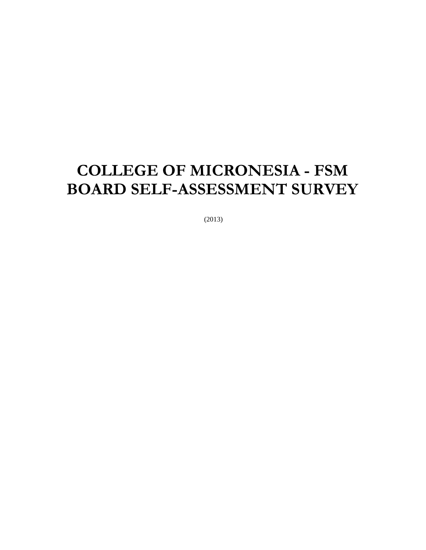# **COLLEGE OF MICRONESIA - FSM BOARD SELF-ASSESSMENT SURVEY**

(2013)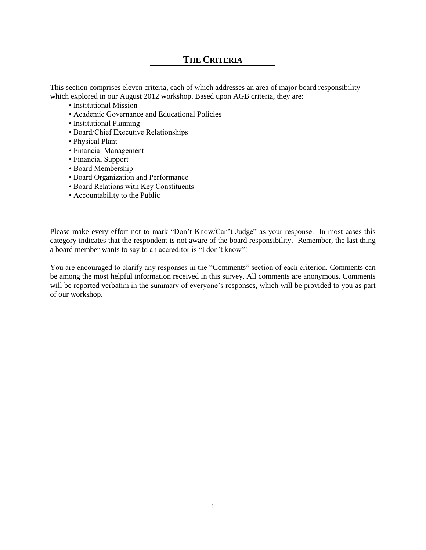### **THE CRITERIA**

This section comprises eleven criteria, each of which addresses an area of major board responsibility which explored in our August 2012 workshop. Based upon AGB criteria, they are:

- Institutional Mission
- Academic Governance and Educational Policies
- Institutional Planning
- Board/Chief Executive Relationships
- Physical Plant
- Financial Management
- Financial Support
- Board Membership
- Board Organization and Performance
- Board Relations with Key Constituents
- Accountability to the Public

Please make every effort not to mark "Don't Know/Can't Judge" as your response. In most cases this category indicates that the respondent is not aware of the board responsibility. Remember, the last thing a board member wants to say to an accreditor is "I don't know"!

You are encouraged to clarify any responses in the "Comments" section of each criterion. Comments can be among the most helpful information received in this survey. All comments are anonymous. Comments will be reported verbatim in the summary of everyone's responses, which will be provided to you as part of our workshop.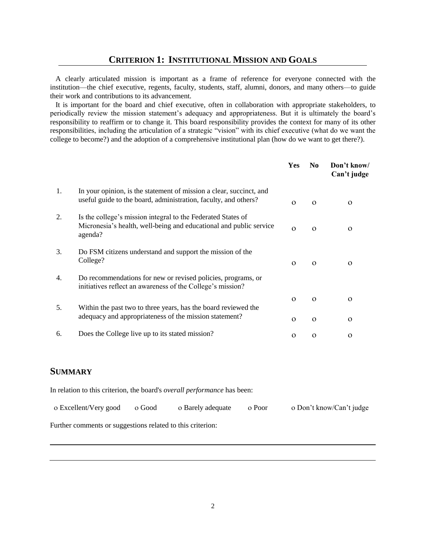A clearly articulated mission is important as a frame of reference for everyone connected with the institution—the chief executive, regents, faculty, students, staff, alumni, donors, and many others—to guide their work and contributions to its advancement.

 It is important for the board and chief executive, often in collaboration with appropriate stakeholders, to periodically review the mission statement's adequacy and appropriateness. But it is ultimately the board's responsibility to reaffirm or to change it. This board responsibility provides the context for many of its other responsibilities, including the articulation of a strategic "vision" with its chief executive (what do we want the college to become?) and the adoption of a comprehensive institutional plan (how do we want to get there?).

|    |                                                                                                                                               | Yes      | N <sub>0</sub> | Don't know/<br>Can't judge |
|----|-----------------------------------------------------------------------------------------------------------------------------------------------|----------|----------------|----------------------------|
| 1. | In your opinion, is the statement of mission a clear, succinct, and<br>useful guide to the board, administration, faculty, and others?        | $\Omega$ | $\Omega$       | $\Omega$                   |
| 2. | Is the college's mission integral to the Federated States of<br>Micronesia's health, well-being and educational and public service<br>agenda? | $\Omega$ | $\Omega$       | $\Omega$                   |
| 3. | Do FSM citizens understand and support the mission of the<br>College?                                                                         | $\Omega$ | $\Omega$       | $\Omega$                   |
| 4. | Do recommendations for new or revised policies, programs, or<br>initiatives reflect an awareness of the College's mission?                    |          |                |                            |
|    |                                                                                                                                               | $\Omega$ | $\Omega$       | $\Omega$                   |
| 5. | Within the past two to three years, has the board reviewed the<br>adequacy and appropriateness of the mission statement?                      | $\Omega$ | $\Omega$       | $\Omega$                   |
| 6. | Does the College live up to its stated mission?                                                                                               | $\Omega$ | $\Omega$       | $\mathbf 0$                |

## **SUMMARY**

In relation to this criterion, the board's *overall performance* has been:

| o Excellent/Very good                                      | o Good | o Barely adequate | o Poor | o Don't know/Can't judge |
|------------------------------------------------------------|--------|-------------------|--------|--------------------------|
| Further comments or suggestions related to this criterion: |        |                   |        |                          |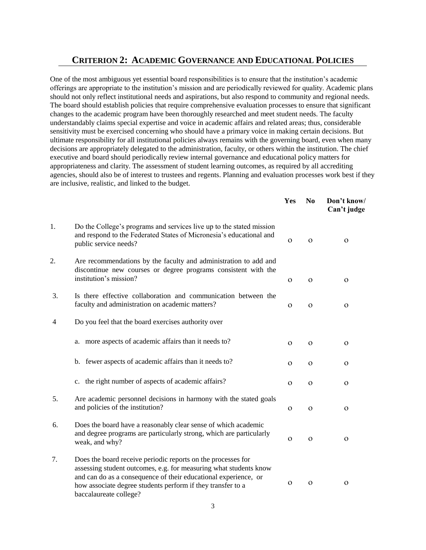## **CRITERION 2: ACADEMIC GOVERNANCE AND EDUCATIONAL POLICIES**

One of the most ambiguous yet essential board responsibilities is to ensure that the institution's academic offerings are appropriate to the institution's mission and are periodically reviewed for quality. Academic plans should not only reflect institutional needs and aspirations, but also respond to community and regional needs. The board should establish policies that require comprehensive evaluation processes to ensure that significant changes to the academic program have been thoroughly researched and meet student needs. The faculty understandably claims special expertise and voice in academic affairs and related areas; thus, considerable sensitivity must be exercised concerning who should have a primary voice in making certain decisions. But ultimate responsibility for all institutional policies always remains with the governing board, even when many decisions are appropriately delegated to the administration, faculty, or others within the institution. The chief executive and board should periodically review internal governance and educational policy matters for appropriateness and clarity. The assessment of student learning outcomes, as required by all accrediting agencies, should also be of interest to trustees and regents. Planning and evaluation processes work best if they are inclusive, realistic, and linked to the budget.

|                |                                                                                                                                                                                                                                                                                               | <b>Yes</b>   | N <sub>0</sub> | Don't know/<br>Can't judge |
|----------------|-----------------------------------------------------------------------------------------------------------------------------------------------------------------------------------------------------------------------------------------------------------------------------------------------|--------------|----------------|----------------------------|
| 1.             | Do the College's programs and services live up to the stated mission<br>and respond to the Federated States of Micronesia's educational and<br>public service needs?                                                                                                                          | $\Omega$     | $\Omega$       | $\mathbf{O}$               |
| 2.             | Are recommendations by the faculty and administration to add and<br>discontinue new courses or degree programs consistent with the<br>institution's mission?                                                                                                                                  | $\mathbf{O}$ | $\mathbf{O}$   | 0                          |
| 3.             | Is there effective collaboration and communication between the<br>faculty and administration on academic matters?                                                                                                                                                                             | $\mathbf{O}$ | $\mathbf{O}$   | $\mathbf{O}$               |
| $\overline{4}$ | Do you feel that the board exercises authority over                                                                                                                                                                                                                                           |              |                |                            |
|                | a. more aspects of academic affairs than it needs to?                                                                                                                                                                                                                                         | $\Omega$     | $\Omega$       | $\Omega$                   |
|                | b. fewer aspects of academic affairs than it needs to?                                                                                                                                                                                                                                        | $\mathbf O$  | $\Omega$       | O                          |
|                | c. the right number of aspects of academic affairs?                                                                                                                                                                                                                                           | $\mathbf{O}$ | $\Omega$       | $\Omega$                   |
| 5.             | Are academic personnel decisions in harmony with the stated goals<br>and policies of the institution?                                                                                                                                                                                         | $\Omega$     | $\Omega$       | $\Omega$                   |
| 6.             | Does the board have a reasonably clear sense of which academic<br>and degree programs are particularly strong, which are particularly<br>weak, and why?                                                                                                                                       | $\Omega$     | $\Omega$       | $\Omega$                   |
| 7.             | Does the board receive periodic reports on the processes for<br>assessing student outcomes, e.g. for measuring what students know<br>and can do as a consequence of their educational experience, or<br>how associate degree students perform if they transfer to a<br>baccalaureate college? | $\Omega$     | $\Omega$       | $\mathbf{O}$               |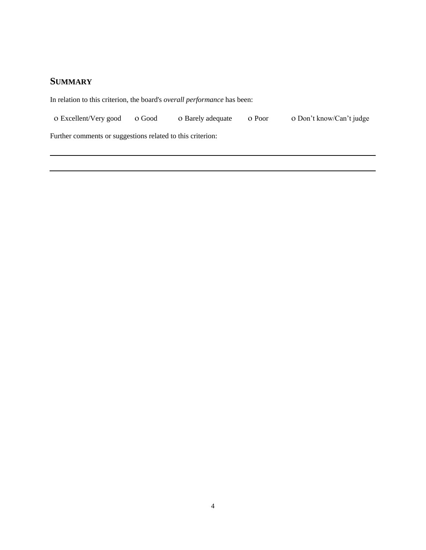## **SUMMARY**

In relation to this criterion, the board's *overall performance* has been:

| o Excellent/Very good o Good<br>o Barely adequate o Poor | o Don't know/Can't judge |
|----------------------------------------------------------|--------------------------|
|----------------------------------------------------------|--------------------------|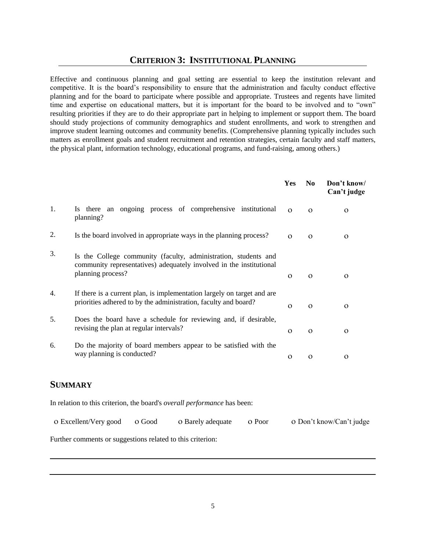## **CRITERION 3: INSTITUTIONAL PLANNING**

Effective and continuous planning and goal setting are essential to keep the institution relevant and competitive. It is the board's responsibility to ensure that the administration and faculty conduct effective planning and for the board to participate where possible and appropriate. Trustees and regents have limited time and expertise on educational matters, but it is important for the board to be involved and to "own" resulting priorities if they are to do their appropriate part in helping to implement or support them. The board should study projections of community demographics and student enrollments, and work to strengthen and improve student learning outcomes and community benefits. (Comprehensive planning typically includes such matters as enrollment goals and student recruitment and retention strategies, certain faculty and staff matters, the physical plant, information technology, educational programs, and fund-raising, among others.)

|    |                                                                                                                                                             | <b>Yes</b> | N <sub>0</sub> | Don't know/<br>Can't judge |
|----|-------------------------------------------------------------------------------------------------------------------------------------------------------------|------------|----------------|----------------------------|
| 1. | there an ongoing process of comprehensive institutional<br>Is.<br>planning?                                                                                 | $\Omega$   | $\Omega$       | $\Omega$                   |
| 2. | Is the board involved in appropriate ways in the planning process?                                                                                          | $\Omega$   | $\Omega$       | $\Omega$                   |
| 3. | Is the College community (faculty, administration, students and<br>community representatives) adequately involved in the institutional<br>planning process? | $\Omega$   | $\Omega$       | $\Omega$                   |
| 4. | If there is a current plan, is implementation largely on target and are<br>priorities adhered to by the administration, faculty and board?                  | $\Omega$   | $\Omega$       | $\Omega$                   |
| 5. | Does the board have a schedule for reviewing and, if desirable,<br>revising the plan at regular intervals?                                                  | $\Omega$   | $\Omega$       | $\Omega$                   |
| 6. | Do the majority of board members appear to be satisfied with the<br>way planning is conducted?                                                              | $\Omega$   | $\Omega$       | $\Omega$                   |
|    |                                                                                                                                                             |            |                |                            |

## **SUMMARY**

In relation to this criterion, the board's *overall performance* has been:

| o Excellent/Very good o Good |  | o Barely adequate o Poor |  | o Don't know/Can't judge |
|------------------------------|--|--------------------------|--|--------------------------|
|------------------------------|--|--------------------------|--|--------------------------|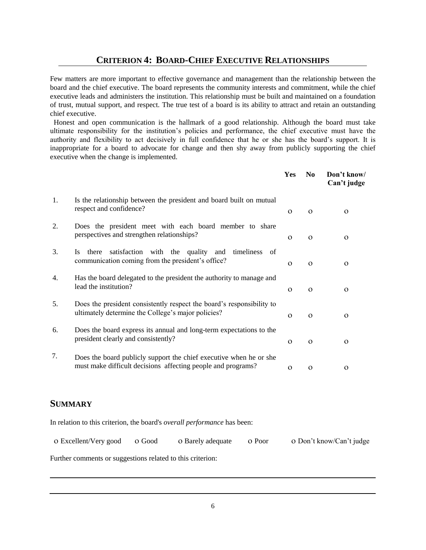## **CRITERION 4: BOARD-CHIEF EXECUTIVE RELATIONSHIPS**

Few matters are more important to effective governance and management than the relationship between the board and the chief executive. The board represents the community interests and commitment, while the chief executive leads and administers the institution. This relationship must be built and maintained on a foundation of trust, mutual support, and respect. The true test of a board is its ability to attract and retain an outstanding chief executive.

 Honest and open communication is the hallmark of a good relationship. Although the board must take ultimate responsibility for the institution's policies and performance, the chief executive must have the authority and flexibility to act decisively in full confidence that he or she has the board's support. It is inappropriate for a board to advocate for change and then shy away from publicly supporting the chief executive when the change is implemented.

|    |                                                                                                                                    | Yes      | N <sub>0</sub> | Don't know/<br>Can't judge |
|----|------------------------------------------------------------------------------------------------------------------------------------|----------|----------------|----------------------------|
| 1. | Is the relationship between the president and board built on mutual<br>respect and confidence?                                     | $\Omega$ | $\Omega$       | $\Omega$                   |
| 2. | Does the president meet with each board member to share<br>perspectives and strengthen relationships?                              | $\Omega$ | $\Omega$       | $\Omega$                   |
| 3. | satisfaction<br>with the quality and<br>timeliness of<br>there<br><b>Is</b><br>communication coming from the president's office?   | $\Omega$ | $\Omega$       | $\Omega$                   |
| 4. | Has the board delegated to the president the authority to manage and<br>lead the institution?                                      | $\Omega$ | $\Omega$       | $\Omega$                   |
| 5. | Does the president consistently respect the board's responsibility to<br>ultimately determine the College's major policies?        | $\Omega$ | $\Omega$       | $\Omega$                   |
| 6. | Does the board express its annual and long-term expectations to the<br>president clearly and consistently?                         | $\Omega$ | $\Omega$       | $\Omega$                   |
| 7. | Does the board publicly support the chief executive when he or she<br>must make difficult decisions affecting people and programs? | $\Omega$ | $\Omega$       | 0                          |

## **SUMMARY**

In relation to this criterion, the board's *overall performance* has been:

| o Excellent/Very good o Good |  | o Barely adequate o Poor |  | o Don't know/Can't judge |
|------------------------------|--|--------------------------|--|--------------------------|
|------------------------------|--|--------------------------|--|--------------------------|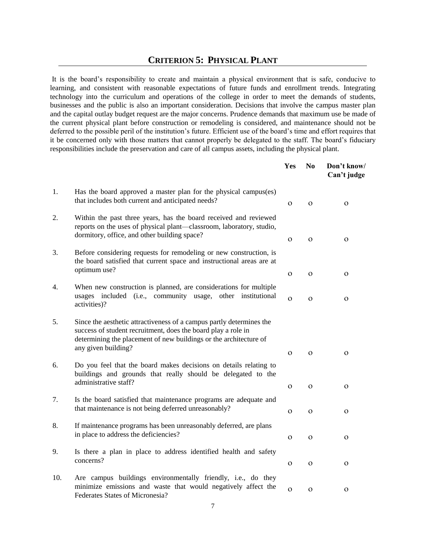#### **CRITERION 5: PHYSICAL PLANT**

It is the board's responsibility to create and maintain a physical environment that is safe, conducive to learning, and consistent with reasonable expectations of future funds and enrollment trends. Integrating technology into the curriculum and operations of the college in order to meet the demands of students, businesses and the public is also an important consideration. Decisions that involve the campus master plan and the capital outlay budget request are the major concerns. Prudence demands that maximum use be made of the current physical plant before construction or remodeling is considered, and maintenance should not be deferred to the possible peril of the institution's future. Efficient use of the board's time and effort requires that it be concerned only with those matters that cannot properly be delegated to the staff. The board's fiduciary responsibilities include the preservation and care of all campus assets, including the physical plant.

|     |                                                                                                                                                                                                                                   | Yes          | N <sub>0</sub> | Don't know/<br>Can't judge |
|-----|-----------------------------------------------------------------------------------------------------------------------------------------------------------------------------------------------------------------------------------|--------------|----------------|----------------------------|
| 1.  | Has the board approved a master plan for the physical campus(es)<br>that includes both current and anticipated needs?                                                                                                             | $\Omega$     | $\Omega$       | $\Omega$                   |
| 2.  | Within the past three years, has the board received and reviewed<br>reports on the uses of physical plant—classroom, laboratory, studio,<br>dormitory, office, and other building space?                                          | $\mathbf{O}$ | $\mathbf O$    | $\mathbf{O}$               |
| 3.  | Before considering requests for remodeling or new construction, is<br>the board satisfied that current space and instructional areas are at<br>optimum use?                                                                       | $\mathbf{O}$ | $\mathbf{O}$   | $\mathbf{O}$               |
| 4.  | When new construction is planned, are considerations for multiple<br>usages included (i.e., community usage, other institutional<br>activities)?                                                                                  | $\Omega$     | $\Omega$       | $\Omega$                   |
| 5.  | Since the aesthetic attractiveness of a campus partly determines the<br>success of student recruitment, does the board play a role in<br>determining the placement of new buildings or the architecture of<br>any given building? | $\Omega$     | $\Omega$       | $\Omega$                   |
| 6.  | Do you feel that the board makes decisions on details relating to<br>buildings and grounds that really should be delegated to the<br>administrative staff?                                                                        | $\mathbf{O}$ | $\Omega$       | $\mathbf{O}$               |
| 7.  | Is the board satisfied that maintenance programs are adequate and<br>that maintenance is not being deferred unreasonably?                                                                                                         | $\Omega$     | $\Omega$       | $\Omega$                   |
| 8.  | If maintenance programs has been unreasonably deferred, are plans<br>in place to address the deficiencies?                                                                                                                        | $\mathbf{O}$ | $\Omega$       | $\mathbf{O}$               |
| 9.  | Is there a plan in place to address identified health and safety<br>concerns?                                                                                                                                                     | $\Omega$     | $\Omega$       | $\Omega$                   |
| 10. | Are campus buildings environmentally friendly, i.e., do they<br>minimize emissions and waste that would negatively affect the<br>Federates States of Micronesia?                                                                  | $\mathbf O$  | $\mathbf{O}$   | $\mathbf{O}$               |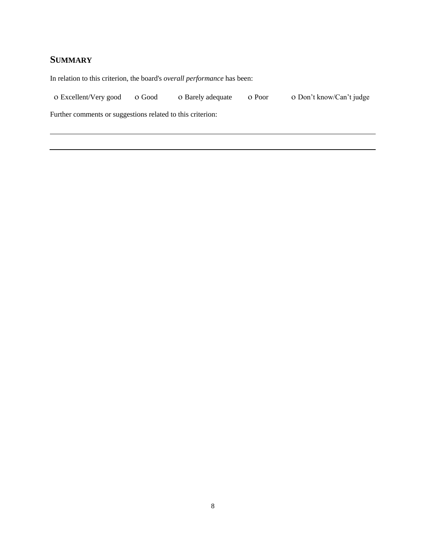## **SUMMARY**

In relation to this criterion, the board's *overall performance* has been:

o Excellent/Very good o Good o Barely adequate o Poor o Don't know/Can't judge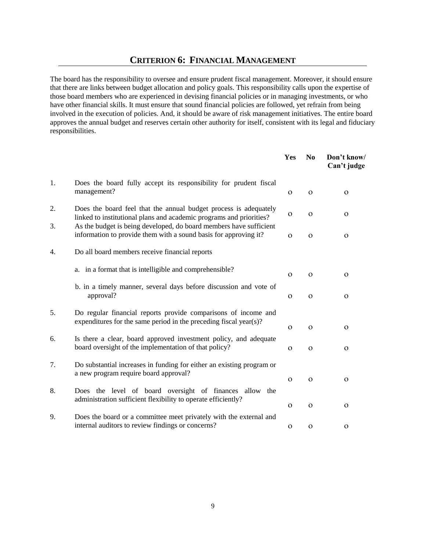## **CRITERION 6: FINANCIAL MANAGEMENT**

The board has the responsibility to oversee and ensure prudent fiscal management. Moreover, it should ensure that there are links between budget allocation and policy goals. This responsibility calls upon the expertise of those board members who are experienced in devising financial policies or in managing investments, or who have other financial skills. It must ensure that sound financial policies are followed, yet refrain from being involved in the execution of policies. And, it should be aware of risk management initiatives. The entire board approves the annual budget and reserves certain other authority for itself, consistent with its legal and fiduciary responsibilities.

|    |                                                                                                                                         | Yes          | N <sub>0</sub> | Don't know/<br>Can't judge |
|----|-----------------------------------------------------------------------------------------------------------------------------------------|--------------|----------------|----------------------------|
| 1. | Does the board fully accept its responsibility for prudent fiscal<br>management?                                                        | $\Omega$     | $\Omega$       | $\mathbf O$                |
| 2. | Does the board feel that the annual budget process is adequately<br>linked to institutional plans and academic programs and priorities? | $\mathbf{O}$ | $\mathbf O$    | $\mathbf O$                |
| 3. | As the budget is being developed, do board members have sufficient<br>information to provide them with a sound basis for approving it?  | $\Omega$     | $\Omega$       | $\mathbf{O}$               |
| 4. | Do all board members receive financial reports                                                                                          |              |                |                            |
|    | a. in a format that is intelligible and comprehensible?                                                                                 | $\Omega$     | $\Omega$       | $\Omega$                   |
|    | b. in a timely manner, several days before discussion and vote of<br>approval?                                                          | $\mathbf{O}$ | $\mathbf O$    | $\mathbf O$                |
| 5. | Do regular financial reports provide comparisons of income and<br>expenditures for the same period in the preceding fiscal year(s)?     | $\Omega$     | $\Omega$       | $\Omega$                   |
| 6. | Is there a clear, board approved investment policy, and adequate<br>board oversight of the implementation of that policy?               | $\mathbf{O}$ | $\mathbf O$    | $\mathbf O$                |
| 7. | Do substantial increases in funding for either an existing program or<br>a new program require board approval?                          | $\Omega$     | $\Omega$       | $\mathbf O$                |
| 8. | Does the level of board oversight of finances allow the<br>administration sufficient flexibility to operate efficiently?                |              |                |                            |
| 9. |                                                                                                                                         | $\Omega$     | $\Omega$       | $\mathbf O$                |
|    | Does the board or a committee meet privately with the external and<br>internal auditors to review findings or concerns?                 | $\mathbf{O}$ | $\mathbf{O}$   | $\mathbf O$                |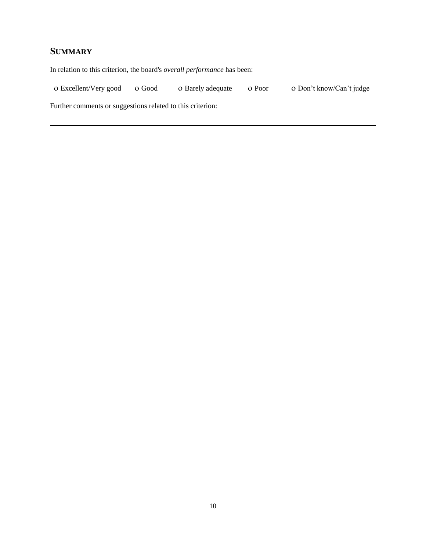## **SUMMARY**

In relation to this criterion, the board's *overall performance* has been:

O Excellent/Very good O Good O Barely adequate O Poor O Don't know/Can't judge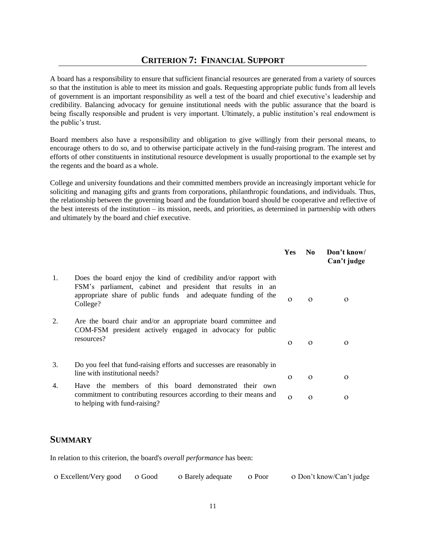## **CRITERION 7: FINANCIAL SUPPORT**

A board has a responsibility to ensure that sufficient financial resources are generated from a variety of sources so that the institution is able to meet its mission and goals. Requesting appropriate public funds from all levels of government is an important responsibility as well a test of the board and chief executive's leadership and credibility. Balancing advocacy for genuine institutional needs with the public assurance that the board is being fiscally responsible and prudent is very important. Ultimately, a public institution's real endowment is the public's trust.

Board members also have a responsibility and obligation to give willingly from their personal means, to encourage others to do so, and to otherwise participate actively in the fund-raising program. The interest and efforts of other constituents in institutional resource development is usually proportional to the example set by the regents and the board as a whole.

College and university foundations and their committed members provide an increasingly important vehicle for soliciting and managing gifts and grants from corporations, philanthropic foundations, and individuals. Thus, the relationship between the governing board and the foundation board should be cooperative and reflective of the best interests of the institution – its mission, needs, and priorities, as determined in partnership with others and ultimately by the board and chief executive.

|    |                                                                                                                                                                                                             | <b>Yes</b> | N <sub>0</sub> | Don't know/<br>Can't judge |
|----|-------------------------------------------------------------------------------------------------------------------------------------------------------------------------------------------------------------|------------|----------------|----------------------------|
| 1. | Does the board enjoy the kind of credibility and/or rapport with<br>FSM's parliament, cabinet and president that results in an<br>appropriate share of public funds and adequate funding of the<br>College? | $\Omega$   | $\Omega$       | $\Omega$                   |
| 2. | Are the board chair and/or an appropriate board committee and<br>COM-FSM president actively engaged in advocacy for public<br>resources?                                                                    | $\Omega$   | $\Omega$       | $\Omega$                   |
| 3. | Do you feel that fund-raising efforts and successes are reasonably in<br>line with institutional needs?                                                                                                     | $\Omega$   | $\Omega$       | $\Omega$                   |
| 4. | Have the members of this board demonstrated their own<br>commitment to contributing resources according to their means and<br>to helping with fund-raising?                                                 | $\Omega$   | $\Omega$       | O                          |

## **SUMMARY**

In relation to this criterion, the board's *overall performance* has been:

| o Excellent/Very good o Good |  | o Barely adequate o Poor |  | o Don't know/Can't judge |
|------------------------------|--|--------------------------|--|--------------------------|
|------------------------------|--|--------------------------|--|--------------------------|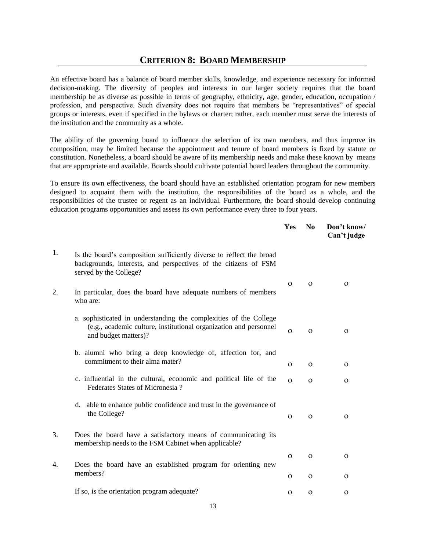## **CRITERION 8: BOARD MEMBERSHIP**

An effective board has a balance of board member skills, knowledge, and experience necessary for informed decision-making. The diversity of peoples and interests in our larger society requires that the board membership be as diverse as possible in terms of geography, ethnicity, age, gender, education, occupation / profession, and perspective. Such diversity does not require that members be "representatives" of special groups or interests, even if specified in the bylaws or charter; rather, each member must serve the interests of the institution and the community as a whole.

The ability of the governing board to influence the selection of its own members, and thus improve its composition, may be limited because the appointment and tenure of board members is fixed by statute or constitution. Nonetheless, a board should be aware of its membership needs and make these known by means that are appropriate and available. Boards should cultivate potential board leaders throughout the community.

To ensure its own effectiveness, the board should have an established orientation program for new members designed to acquaint them with the institution, the responsibilities of the board as a whole, and the responsibilities of the trustee or regent as an individual. Furthermore, the board should develop continuing education programs opportunities and assess its own performance every three to four years.

|    |                                                                                                                                                                   | Yes      | N <sub>0</sub> | Don't know/<br>Can't judge |
|----|-------------------------------------------------------------------------------------------------------------------------------------------------------------------|----------|----------------|----------------------------|
| 1. | Is the board's composition sufficiently diverse to reflect the broad<br>backgrounds, interests, and perspectives of the citizens of FSM<br>served by the College? |          |                |                            |
| 2. | In particular, does the board have adequate numbers of members<br>who are:                                                                                        | $\Omega$ | $\Omega$       | $\Omega$                   |
|    | a. sophisticated in understanding the complexities of the College<br>(e.g., academic culture, institutional organization and personnel<br>and budget matters)?    | $\Omega$ | $\Omega$       | $\Omega$                   |
|    | b. alumni who bring a deep knowledge of, affection for, and<br>commitment to their alma mater?                                                                    | $\Omega$ | $\Omega$       | $\Omega$                   |
|    | c. influential in the cultural, economic and political life of the<br>Federates States of Micronesia?                                                             | $\Omega$ | $\Omega$       | $\Omega$                   |
|    | able to enhance public confidence and trust in the governance of<br>d.<br>the College?                                                                            | $\Omega$ | $\Omega$       | $\Omega$                   |
| 3. | Does the board have a satisfactory means of communicating its<br>membership needs to the FSM Cabinet when applicable?                                             |          |                |                            |
| 4. | Does the board have an established program for orienting new                                                                                                      | $\Omega$ | $\Omega$       | $\Omega$                   |
|    | members?                                                                                                                                                          | $\Omega$ | $\Omega$       | 0                          |
|    | If so, is the orientation program adequate?                                                                                                                       | $\Omega$ | $\Omega$       | $\mathbf{O}$               |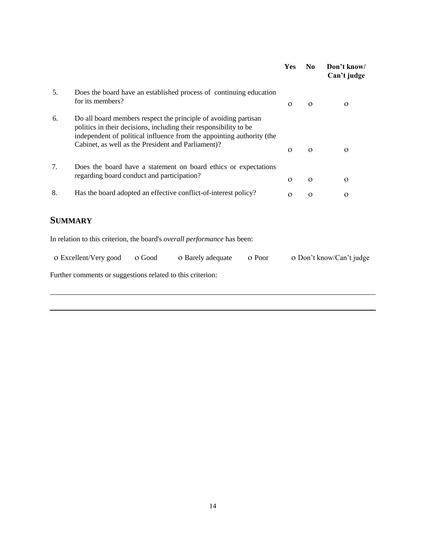|    |                                                                                                                                                                                                                                                                     | Yes      | N <sub>0</sub> | Don't know/<br>Can't judge |
|----|---------------------------------------------------------------------------------------------------------------------------------------------------------------------------------------------------------------------------------------------------------------------|----------|----------------|----------------------------|
| 5. | Does the board have an established process of continuing education<br>for its members?                                                                                                                                                                              | $\Omega$ | $\Omega$       | $\Omega$                   |
| 6. | Do all board members respect the principle of avoiding partisan<br>politics in their decisions, including their responsibility to be<br>independent of political influence from the appointing authority (the<br>Cabinet, as well as the President and Parliament)? | $\Omega$ | $\Omega$       | $\Omega$                   |
| 7. | Does the board have a statement on board ethics or expectations<br>regarding board conduct and participation?                                                                                                                                                       | $\Omega$ | $\Omega$       | $\Omega$                   |
| 8. | Has the board adopted an effective conflict-of-interest policy?                                                                                                                                                                                                     | $\Omega$ | $\Omega$       | $\Omega$                   |
|    | SUMMARY                                                                                                                                                                                                                                                             |          |                |                            |

In relation to this criterion, the board's *overall performance* has been:

| o Excellent/Very good                                      | o Good | O Barely adequate | o Poor | o Don't know/Can't judge |
|------------------------------------------------------------|--------|-------------------|--------|--------------------------|
| Further comments or suggestions related to this criterion: |        |                   |        |                          |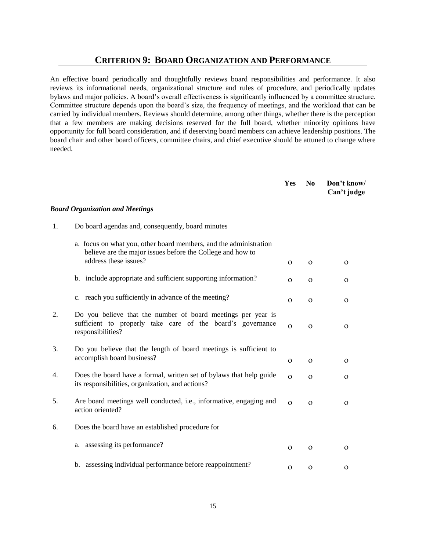#### **CRITERION 9: BOARD ORGANIZATION AND PERFORMANCE**

An effective board periodically and thoughtfully reviews board responsibilities and performance. It also reviews its informational needs, organizational structure and rules of procedure, and periodically updates bylaws and major policies. A board's overall effectiveness is significantly influenced by a committee structure. Committee structure depends upon the board's size, the frequency of meetings, and the workload that can be carried by individual members. Reviews should determine, among other things, whether there is the perception that a few members are making decisions reserved for the full board, whether minority opinions have opportunity for full board consideration, and if deserving board members can achieve leadership positions. The board chair and other board officers, committee chairs, and chief executive should be attuned to change where needed.

|    |                                                                                                                                                          | Yes          | N <sub>0</sub> | Don't know/<br>Can't judge |
|----|----------------------------------------------------------------------------------------------------------------------------------------------------------|--------------|----------------|----------------------------|
|    | <b>Board Organization and Meetings</b>                                                                                                                   |              |                |                            |
| 1. | Do board agendas and, consequently, board minutes                                                                                                        |              |                |                            |
|    | a. focus on what you, other board members, and the administration<br>believe are the major issues before the College and how to<br>address these issues? | $\Omega$     | $\Omega$       | 0                          |
|    | b. include appropriate and sufficient supporting information?                                                                                            | $\Omega$     | $\Omega$       | $\mathbf O$                |
|    | c. reach you sufficiently in advance of the meeting?                                                                                                     | $\Omega$     | $\Omega$       | $\Omega$                   |
| 2. | Do you believe that the number of board meetings per year is<br>sufficient to properly take care of the board's governance<br>responsibilities?          | $\Omega$     | $\Omega$       | $\Omega$                   |
| 3. | Do you believe that the length of board meetings is sufficient to<br>accomplish board business?                                                          | $\mathbf{O}$ | $\mathbf O$    | $\Omega$                   |
| 4. | Does the board have a formal, written set of bylaws that help guide<br>its responsibilities, organization, and actions?                                  | $\Omega$     | $\Omega$       | 0                          |
| 5. | Are board meetings well conducted, i.e., informative, engaging and<br>action oriented?                                                                   | $\Omega$     | $\Omega$       | $\mathbf{O}$               |
| 6. | Does the board have an established procedure for                                                                                                         |              |                |                            |
|    | a. assessing its performance?                                                                                                                            | $\Omega$     | $\Omega$       | $\Omega$                   |
|    | b. assessing individual performance before reappointment?                                                                                                | $\Omega$     | $\Omega$       | $\Omega$                   |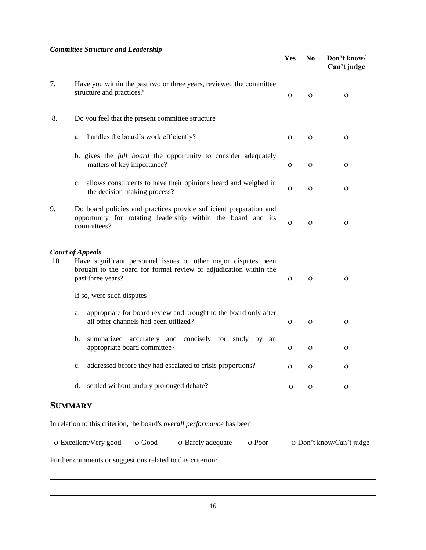#### *Committee Structure and Leadership*

|     | Committee Structure and Leadership                                                                                                                                                  | Yes          | N <sub>0</sub> | Don't know/<br>Can't judge |
|-----|-------------------------------------------------------------------------------------------------------------------------------------------------------------------------------------|--------------|----------------|----------------------------|
| 7.  | Have you within the past two or three years, reviewed the committee<br>structure and practices?                                                                                     | $\Omega$     | $\mathbf{O}$   | $\Omega$                   |
| 8.  | Do you feel that the present committee structure                                                                                                                                    |              |                |                            |
|     | handles the board's work efficiently?<br>a.                                                                                                                                         | $\mathbf{O}$ | $\mathbf O$    | $\Omega$                   |
|     | b. gives the <i>full board</i> the opportunity to consider adequately<br>matters of key importance?                                                                                 | 0            | $\mathbf{O}$   | $\Omega$                   |
|     | allows constituents to have their opinions heard and weighed in<br>c.<br>the decision-making process?                                                                               | $\mathbf{O}$ | $\mathbf{O}$   | $\mathbf{O}$               |
| 9.  | Do board policies and practices provide sufficient preparation and<br>opportunity for rotating leadership within the board and its<br>committees?                                   | $\mathbf O$  | $\mathbf O$    | $\Omega$                   |
| 10. | <b>Court of Appeals</b><br>Have significant personnel issues or other major disputes been<br>brought to the board for formal review or adjudication within the<br>past three years? | $\mathbf{O}$ | $\Omega$       | $\Omega$                   |
|     | If so, were such disputes<br>appropriate for board review and brought to the board only after<br>a.<br>all other channels had been utilized?                                        | $\mathbf{O}$ | $\mathbf{O}$   | $\mathbf{O}$               |
|     | summarized accurately and concisely for study by<br>b.<br>an<br>appropriate board committee?                                                                                        | $\mathbf{O}$ | $\Omega$       | $\Omega$                   |
|     | addressed before they had escalated to crisis proportions?<br>c.                                                                                                                    | $\mathbf{O}$ | $\mathbf{O}$   | 0                          |
|     | settled without unduly prolonged debate?<br>d.                                                                                                                                      | $\mathbf{O}$ | $\mathbf O$    | $\mathbf{O}$               |
|     | <b>SUMMARY</b>                                                                                                                                                                      |              |                |                            |

In relation to this criterion, the board's *overall performance* has been:

| o Excellent/Very good o Good                                                                                                                                                                                                      | o Barely adequate o Poor | o Don't know/Can't judge |
|-----------------------------------------------------------------------------------------------------------------------------------------------------------------------------------------------------------------------------------|--------------------------|--------------------------|
| $\mathbf{r}$ and the set of the set of the set of the set of the set of the set of the set of the set of the set of the set of the set of the set of the set of the set of the set of the set of the set of the set of the set of |                          |                          |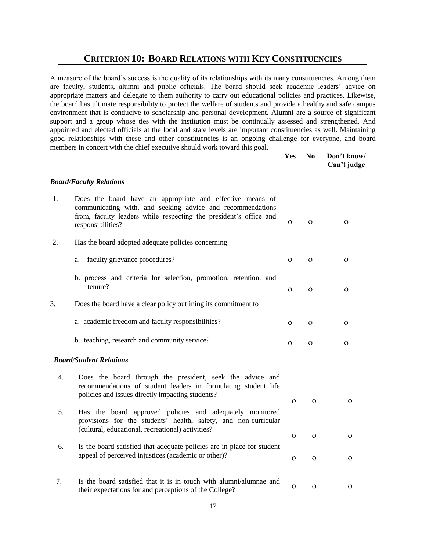## **CRITERION 10: BOARD RELATIONS WITH KEY CONSTITUENCIES**

A measure of the board's success is the quality of its relationships with its many constituencies. Among them are faculty, students, alumni and public officials. The board should seek academic leaders' advice on appropriate matters and delegate to them authority to carry out educational policies and practices. Likewise, the board has ultimate responsibility to protect the welfare of students and provide a healthy and safe campus environment that is conducive to scholarship and personal development. Alumni are a source of significant support and a group whose ties with the institution must be continually assessed and strengthened. And appointed and elected officials at the local and state levels are important constituencies as well. Maintaining good relationships with these and other constituencies is an ongoing challenge for everyone, and board members in concert with the chief executive should work toward this goal.

| Yes- | No. | Don't know/ |
|------|-----|-------------|
|      |     | Can't judge |

#### *Board/Faculty Relations*

| 1. | Does the board have an appropriate and effective means of<br>communicating with, and seeking advice and recommendations<br>from, faculty leaders while respecting the president's office and<br>responsibilities? | $\mathbf{O}$ | $\mathbf{O}$ | $\mathbf{O}$ |
|----|-------------------------------------------------------------------------------------------------------------------------------------------------------------------------------------------------------------------|--------------|--------------|--------------|
| 2. | Has the board adopted adequate policies concerning                                                                                                                                                                |              |              |              |
|    | faculty grievance procedures?<br>a.                                                                                                                                                                               | $\Omega$     | $\Omega$     | $\Omega$     |
|    | b. process and criteria for selection, promotion, retention, and<br>tenure?                                                                                                                                       | $\Omega$     | $\Omega$     | $\Omega$     |
| 3. | Does the board have a clear policy outlining its commitment to                                                                                                                                                    |              |              |              |
|    | a. academic freedom and faculty responsibilities?                                                                                                                                                                 | $\Omega$     | $\Omega$     | 0            |
|    | b. teaching, research and community service?                                                                                                                                                                      | $\Omega$     | $\Omega$     | $\Omega$     |
|    | <b>Board/Student Relations</b>                                                                                                                                                                                    |              |              |              |
| 4. | Does the board through the president, seek the advice and<br>recommendations of student leaders in formulating student life<br>policies and issues directly impacting students?                                   | $\Omega$     | $\Omega$     | $\Omega$     |
| 5. | Has the board approved policies and adequately monitored<br>provisions for the students' health, safety, and non-curricular<br>(cultural, educational, recreational) activities?                                  |              |              |              |
| 6. | Is the board satisfied that adequate policies are in place for student                                                                                                                                            | $\mathbf{O}$ | $\mathbf O$  | $\mathbf{O}$ |
|    | appeal of perceived injustices (academic or other)?                                                                                                                                                               | $\Omega$     | $\mathbf{O}$ | $\mathbf{O}$ |
| 7. | Is the board satisfied that it is in touch with alumni/alumnae and<br>their expectations for and perceptions of the College?                                                                                      | $\mathbf{O}$ | $\Omega$     | $\Omega$     |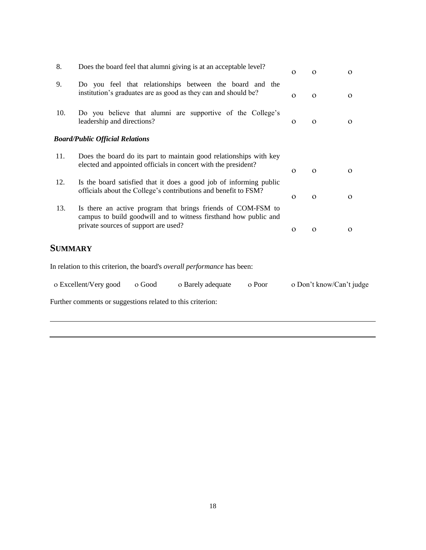| 8.             | Does the board feel that alumni giving is at an acceptable level?                                                                                                        | $\Omega$ | $\Omega$     | $\Omega$                 |
|----------------|--------------------------------------------------------------------------------------------------------------------------------------------------------------------------|----------|--------------|--------------------------|
| 9.             | Do you feel that relationships between the board and the<br>institution's graduates are as good as they can and should be?                                               | $\Omega$ | $\Omega$     | $\Omega$                 |
| 10.            | Do you believe that alumni are supportive of the College's<br>leadership and directions?                                                                                 | $\Omega$ | $\Omega$     | $\Omega$                 |
|                | <b>Board/Public Official Relations</b>                                                                                                                                   |          |              |                          |
| 11.            | Does the board do its part to maintain good relationships with key<br>elected and appointed officials in concert with the president?                                     | $\Omega$ | $\Omega$     | $\mathbf{O}$             |
| 12.            | Is the board satisfied that it does a good job of informing public<br>officials about the College's contributions and benefit to FSM?                                    | $\Omega$ | $\Omega$     | $\Omega$                 |
| 13.            | Is there an active program that brings friends of COM-FSM to<br>campus to build goodwill and to witness firsthand how public and<br>private sources of support are used? | $\Omega$ | $\mathbf{O}$ | $\mathbf{O}$             |
| <b>SUMMARY</b> |                                                                                                                                                                          |          |              |                          |
|                | In relation to this criterion, the board's overall performance has been:                                                                                                 |          |              |                          |
|                | o Excellent/Very good<br>o Poor<br>o Good<br>o Barely adequate                                                                                                           |          |              | o Don't know/Can't judge |
|                | Further comments or suggestions related to this criterion:                                                                                                               |          |              |                          |
|                |                                                                                                                                                                          |          |              |                          |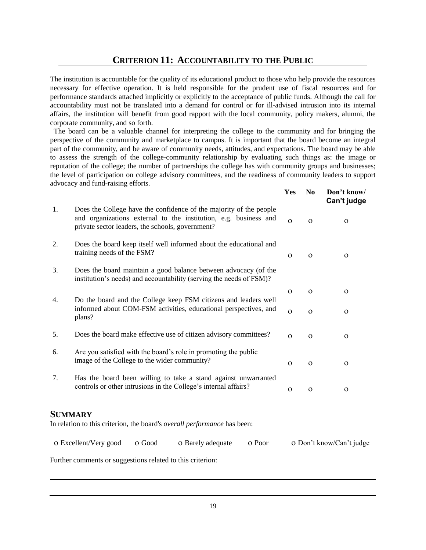The institution is accountable for the quality of its educational product to those who help provide the resources necessary for effective operation. It is held responsible for the prudent use of fiscal resources and for performance standards attached implicitly or explicitly to the acceptance of public funds. Although the call for accountability must not be translated into a demand for control or for ill-advised intrusion into its internal affairs, the institution will benefit from good rapport with the local community, policy makers, alumni, the corporate community, and so forth.

 The board can be a valuable channel for interpreting the college to the community and for bringing the perspective of the community and marketplace to campus. It is important that the board become an integral part of the community, and be aware of community needs, attitudes, and expectations. The board may be able to assess the strength of the college-community relationship by evaluating such things as: the image or reputation of the college; the number of partnerships the college has with community groups and businesses; the level of participation on college advisory committees, and the readiness of community leaders to support advocacy and fund-raising efforts.

**Yes No Don't know/**

|    |                                                                                                                                                                                            | 1 C.S        | <b>INU</b>   | <b>DOIL L KIIOW/</b><br>Can't judge |
|----|--------------------------------------------------------------------------------------------------------------------------------------------------------------------------------------------|--------------|--------------|-------------------------------------|
| 1. | Does the College have the confidence of the majority of the people<br>and organizations external to the institution, e.g. business and<br>private sector leaders, the schools, government? | $\Omega$     | $\Omega$     | $\Omega$                            |
| 2. | Does the board keep itself well informed about the educational and<br>training needs of the FSM?                                                                                           | $\mathbf{O}$ | $\mathbf{O}$ | $\mathbf{O}$                        |
| 3. | Does the board maintain a good balance between advocacy (of the<br>institution's needs) and accountability (serving the needs of FSM)?                                                     |              |              |                                     |
|    |                                                                                                                                                                                            | $\Omega$     | $\Omega$     | $\Omega$                            |
| 4. | Do the board and the College keep FSM citizens and leaders well<br>informed about COM-FSM activities, educational perspectives, and<br>plans?                                              | $\Omega$     | $\Omega$     | $\Omega$                            |
| 5. | Does the board make effective use of citizen advisory committees?                                                                                                                          | $\Omega$     | $\Omega$     | $\mathbf{O}$                        |
| 6. | Are you satisfied with the board's role in promoting the public<br>image of the College to the wider community?                                                                            | $\Omega$     | $\Omega$     | $\mathbf{O}$                        |
| 7. | Has the board been willing to take a stand against unwarranted<br>controls or other intrusions in the College's internal affairs?                                                          | $\Omega$     | $\Omega$     | $\Omega$                            |
|    | <b>SUMMARY</b><br>In relation to this criterion, the board's overall performance has been:                                                                                                 |              |              |                                     |
|    | o Poor<br>o Excellent/Very good<br>O Good<br>O Barely adequate                                                                                                                             |              |              | o Don't know/Can't judge            |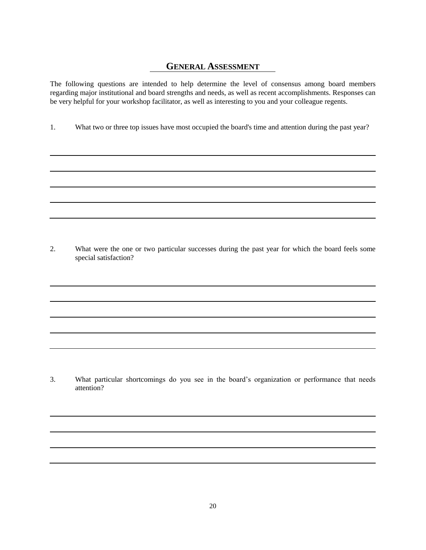### **GENERAL ASSESSMENT**

The following questions are intended to help determine the level of consensus among board members regarding major institutional and board strengths and needs, as well as recent accomplishments. Responses can be very helpful for your workshop facilitator, as well as interesting to you and your colleague regents.

1. What two or three top issues have most occupied the board's time and attention during the past year?

2. What were the one or two particular successes during the past year for which the board feels some special satisfaction?

3. What particular shortcomings do you see in the board's organization or performance that needs attention?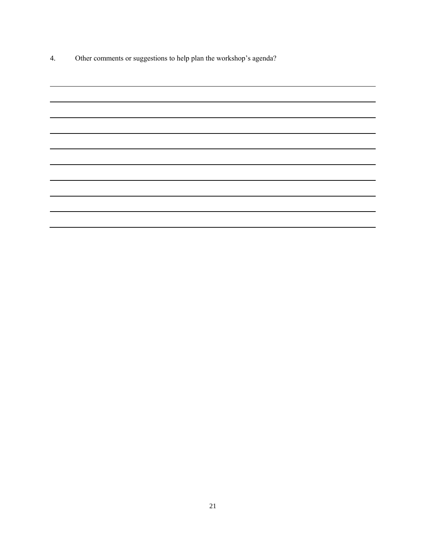4. Other comments or suggestions to help plan the workshop's agenda?

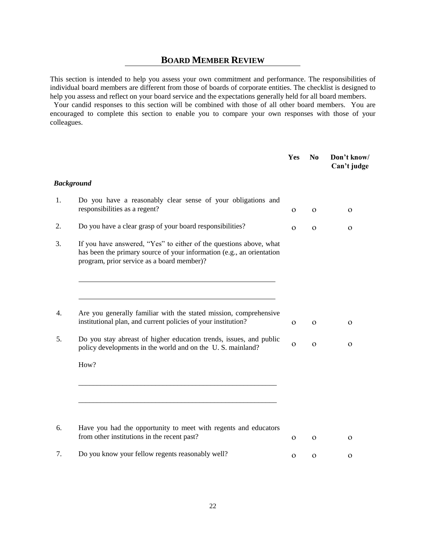## **BOARD MEMBER REVIEW**

This section is intended to help you assess your own commitment and performance. The responsibilities of individual board members are different from those of boards of corporate entities. The checklist is designed to help you assess and reflect on your board service and the expectations generally held for all board members.

 Your candid responses to this section will be combined with those of all other board members. You are encouraged to complete this section to enable you to compare your own responses with those of your colleagues.

|    |                                                                                                                                                                                           | Yes          | N <sub>0</sub> | Don't know/<br>Can't judge |
|----|-------------------------------------------------------------------------------------------------------------------------------------------------------------------------------------------|--------------|----------------|----------------------------|
|    | <b>Background</b>                                                                                                                                                                         |              |                |                            |
| 1. | Do you have a reasonably clear sense of your obligations and<br>responsibilities as a regent?                                                                                             | $\Omega$     | $\Omega$       | $\Omega$                   |
| 2. | Do you have a clear grasp of your board responsibilities?                                                                                                                                 | $\Omega$     | $\Omega$       | $\Omega$                   |
| 3. | If you have answered, "Yes" to either of the questions above, what<br>has been the primary source of your information (e.g., an orientation<br>program, prior service as a board member)? |              |                |                            |
|    |                                                                                                                                                                                           |              |                |                            |
| 4. | Are you generally familiar with the stated mission, comprehensive<br>institutional plan, and current policies of your institution?                                                        | $\mathbf O$  | $\Omega$       | O                          |
| 5. | Do you stay abreast of higher education trends, issues, and public<br>policy developments in the world and on the U.S. mainland?                                                          | $\Omega$     | $\mathbf{O}$   | 0                          |
|    | How?                                                                                                                                                                                      |              |                |                            |
|    |                                                                                                                                                                                           |              |                |                            |
| 6. | Have you had the opportunity to meet with regents and educators<br>from other institutions in the recent past?                                                                            | $\mathbf{O}$ | $\Omega$       | $\Omega$                   |
| 7. | Do you know your fellow regents reasonably well?                                                                                                                                          | $\mathbf{O}$ | $\mathbf{O}$   | 0                          |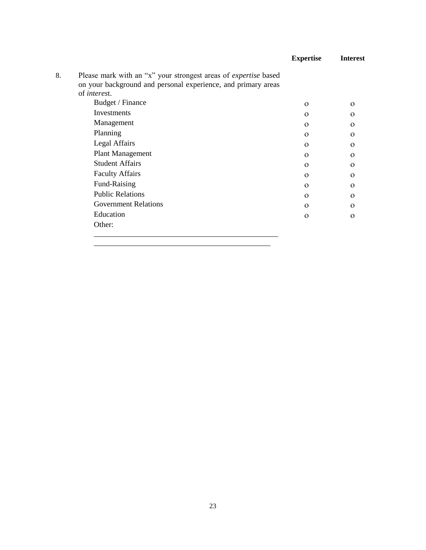|    |                                                                                                                                         | <b>Expertise</b> | <b>Interest</b> |
|----|-----------------------------------------------------------------------------------------------------------------------------------------|------------------|-----------------|
| 8. | Please mark with an "x" your strongest areas of <i>expertise</i> based<br>on your background and personal experience, and primary areas |                  |                 |
|    | of <i>interest</i> .                                                                                                                    |                  |                 |
|    | Budget / Finance                                                                                                                        | $\Omega$         | $\Omega$        |
|    | Investments                                                                                                                             | $\Omega$         | $\Omega$        |
|    | Management                                                                                                                              | $\Omega$         | $\Omega$        |
|    | Planning                                                                                                                                | $\Omega$         | $\Omega$        |
|    | Legal Affairs                                                                                                                           | $\Omega$         | $\Omega$        |
|    | Plant Management                                                                                                                        | $\Omega$         | $\Omega$        |
|    | <b>Student Affairs</b>                                                                                                                  | $\Omega$         | $\Omega$        |
|    | <b>Faculty Affairs</b>                                                                                                                  | $\Omega$         | $\Omega$        |
|    | Fund-Raising                                                                                                                            | $\Omega$         | $\Omega$        |
|    | <b>Public Relations</b>                                                                                                                 | $\Omega$         | $\Omega$        |
|    | <b>Government Relations</b>                                                                                                             | $\Omega$         | $\Omega$        |
|    | Education                                                                                                                               | $\Omega$         | $\Omega$        |
|    | Other:                                                                                                                                  |                  |                 |

\_\_\_\_\_\_\_\_\_\_\_\_\_\_\_\_\_\_\_\_\_\_\_\_\_\_\_\_\_\_\_\_\_\_\_\_\_\_\_\_\_\_\_\_\_\_\_\_ \_\_\_\_\_\_\_\_\_\_\_\_\_\_\_\_\_\_\_\_\_\_\_\_\_\_\_\_\_\_\_\_\_\_\_\_\_\_\_\_\_\_\_\_\_\_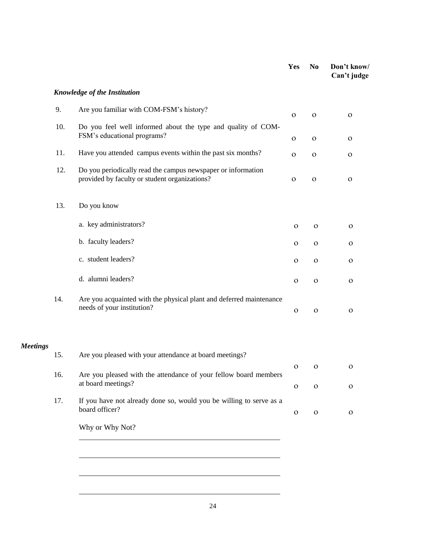|                 |     |                                                                                                               | Yes          | N <sub>0</sub> | Don't know/<br>Can't judge |
|-----------------|-----|---------------------------------------------------------------------------------------------------------------|--------------|----------------|----------------------------|
|                 |     | <b>Knowledge of the Institution</b>                                                                           |              |                |                            |
|                 | 9.  | Are you familiar with COM-FSM's history?                                                                      | $\mathbf{O}$ | $\mathbf{o}$   | $\mathbf O$                |
|                 | 10. | Do you feel well informed about the type and quality of COM-<br>FSM's educational programs?                   |              |                |                            |
|                 |     |                                                                                                               | $\mathbf O$  | $\mathbf O$    | $\mathbf{O}$               |
|                 | 11. | Have you attended campus events within the past six months?                                                   | $\mathbf O$  | $\mathbf O$    | $\mathbf O$                |
|                 | 12. | Do you periodically read the campus newspaper or information<br>provided by faculty or student organizations? | $\mathbf O$  | $\mathbf O$    | $\mathbf{O}$               |
|                 | 13. | Do you know                                                                                                   |              |                |                            |
|                 |     | a. key administrators?                                                                                        | $\mathbf O$  | $\mathbf{O}$   | $\mathbf{O}$               |
|                 |     | b. faculty leaders?                                                                                           | $\mathbf O$  | $\mathbf O$    | $\mathbf O$                |
|                 |     | c. student leaders?                                                                                           | $\mathbf O$  | $\mathbf O$    | $\mathbf O$                |
|                 |     | d. alumni leaders?                                                                                            | $\mathbf O$  | $\mathbf O$    | $\mathbf O$                |
|                 | 14. | Are you acquainted with the physical plant and deferred maintenance<br>needs of your institution?             | $\mathbf O$  | $\mathbf O$    | $\mathbf O$                |
| <b>Meetings</b> | 15. | Are you pleased with your attendance at board meetings?                                                       |              |                |                            |
|                 |     |                                                                                                               | $\mathbf{O}$ | $\mathbf{O}$   | $\mathbf{O}$               |
|                 | 16. | Are you pleased with the attendance of your fellow board members<br>at board meetings?                        | $\mathbf{o}$ | $\mathbf O$    | $\mathbf O$                |
|                 | 17. | If you have not already done so, would you be willing to serve as a<br>board officer?                         | $\mathbf{O}$ | $\mathbf O$    | $\mathbf{O}$               |
|                 |     | Why or Why Not?                                                                                               |              |                |                            |
|                 |     |                                                                                                               |              |                |                            |
|                 |     |                                                                                                               |              |                |                            |
|                 |     |                                                                                                               |              |                |                            |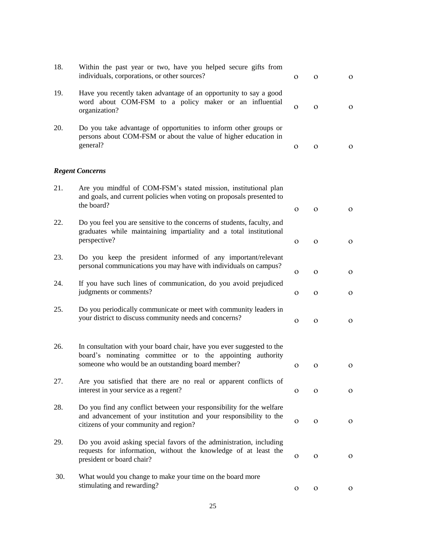| 18. | Within the past year or two, have you helped secure gifts from<br>individuals, corporations, or other sources?                                                                            | 0            | $\mathbf{O}$ | $\mathbf{O}$ |
|-----|-------------------------------------------------------------------------------------------------------------------------------------------------------------------------------------------|--------------|--------------|--------------|
| 19. | Have you recently taken advantage of an opportunity to say a good<br>word about COM-FSM to a policy maker or an influential<br>organization?                                              | $\mathbf{O}$ | $\mathbf{O}$ | $\mathbf{o}$ |
| 20. | Do you take advantage of opportunities to inform other groups or<br>persons about COM-FSM or about the value of higher education in<br>general?                                           | 0            | $\mathbf{O}$ | $\mathbf{O}$ |
|     | <b>Regent Concerns</b>                                                                                                                                                                    |              |              |              |
| 21. | Are you mindful of COM-FSM's stated mission, institutional plan<br>and goals, and current policies when voting on proposals presented to<br>the board?                                    | $\mathbf{O}$ | $\mathbf{O}$ | $\mathbf{O}$ |
| 22. | Do you feel you are sensitive to the concerns of students, faculty, and<br>graduates while maintaining impartiality and a total institutional<br>perspective?                             | $\mathbf{O}$ | $\mathbf{O}$ | $\mathbf{O}$ |
| 23. | Do you keep the president informed of any important/relevant<br>personal communications you may have with individuals on campus?                                                          | $\mathbf O$  | $\mathbf{O}$ | $\mathbf{o}$ |
| 24. | If you have such lines of communication, do you avoid prejudiced<br>judgments or comments?                                                                                                | 0            | $\mathbf{O}$ | $\mathbf{o}$ |
| 25. | Do you periodically communicate or meet with community leaders in<br>your district to discuss community needs and concerns?                                                               | $\mathbf O$  | $\mathbf{O}$ | $\mathbf{o}$ |
| 26. | In consultation with your board chair, have you ever suggested to the<br>board's nominating committee or to the appointing authority<br>someone who would be an outstanding board member? | $\mathbf 0$  | $\mathbf{O}$ | $\mathbf{O}$ |
| 27. | Are you satisfied that there are no real or apparent conflicts of<br>interest in your service as a regent?                                                                                | O            | $\mathbf{O}$ | $\mathbf{o}$ |
| 28. | Do you find any conflict between your responsibility for the welfare<br>and advancement of your institution and your responsibility to the<br>citizens of your community and region?      | O            | $\mathbf{O}$ | $\mathbf{O}$ |
| 29. | Do you avoid asking special favors of the administration, including<br>requests for information, without the knowledge of at least the<br>president or board chair?                       | $\mathbf 0$  | $\mathbf{O}$ | $\mathbf{o}$ |
| 30. | What would you change to make your time on the board more<br>stimulating and rewarding?                                                                                                   | $\mathbf O$  | $\mathbf{O}$ | $\mathbf{o}$ |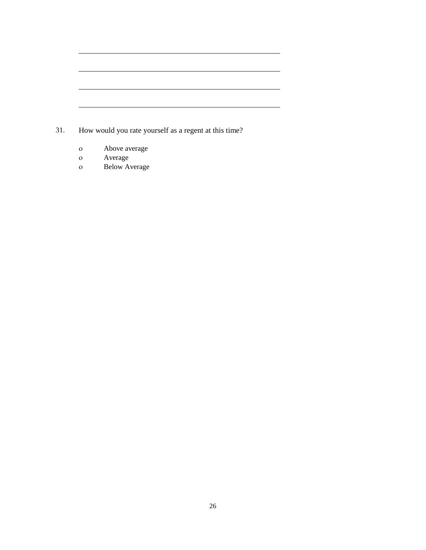| 31. | How would you rate yourself as a regent at this time? |
|-----|-------------------------------------------------------|

- o Above average<br>o Average
- Average
- Below Average